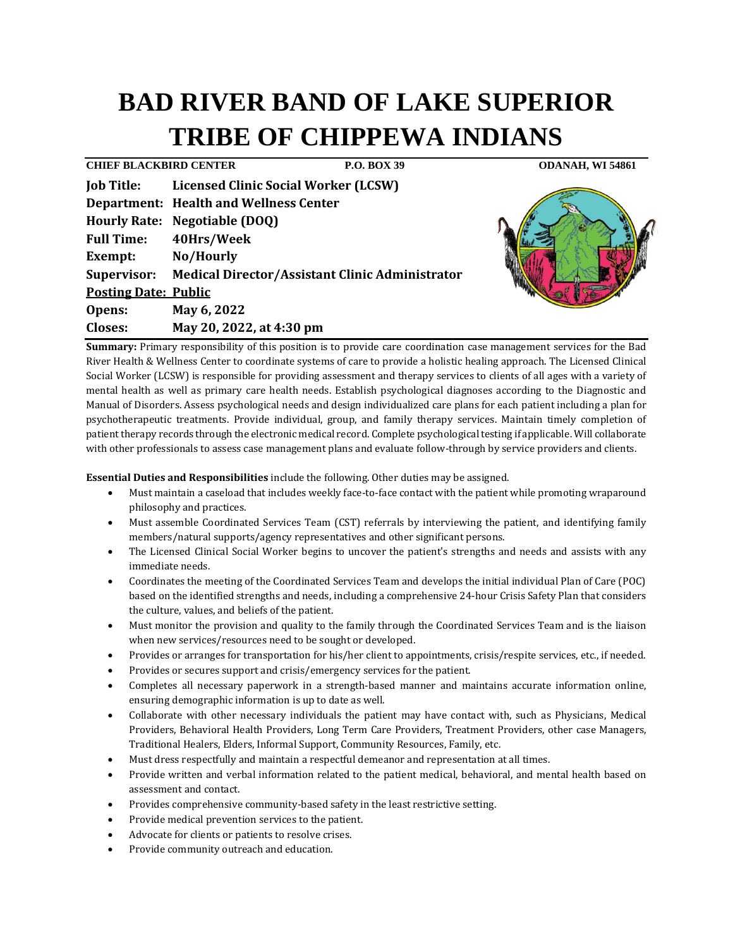# **BAD RIVER BAND OF LAKE SUPERIOR TRIBE OF CHIPPEWA INDIANS**

| <b>CHIEF BLACKBIRD CENTER</b> |                                                             | P.O. BOX 39 | ODANAH, WI 54861 |  |
|-------------------------------|-------------------------------------------------------------|-------------|------------------|--|
| <b>Job Title:</b>             | <b>Licensed Clinic Social Worker (LCSW)</b>                 |             |                  |  |
|                               | <b>Department: Health and Wellness Center</b>               |             |                  |  |
|                               | Hourly Rate: Negotiable (DOQ)                               |             |                  |  |
| <b>Full Time:</b>             | 40Hrs/Week                                                  |             |                  |  |
| <b>Exempt:</b>                | No/Hourly                                                   |             |                  |  |
|                               | Supervisor: Medical Director/Assistant Clinic Administrator |             |                  |  |
| <b>Posting Date: Public</b>   |                                                             |             |                  |  |
| Opens:                        | May 6, 2022                                                 |             |                  |  |
| <b>Closes:</b>                | May 20, 2022, at 4:30 pm                                    |             |                  |  |

**Summary:** Primary responsibility of this position is to provide care coordination case management services for the Bad River Health & Wellness Center to coordinate systems of care to provide a holistic healing approach. The Licensed Clinical Social Worker (LCSW) is responsible for providing assessment and therapy services to clients of all ages with a variety of mental health as well as primary care health needs. Establish psychological diagnoses according to the Diagnostic and Manual of Disorders. Assess psychological needs and design individualized care plans for each patient including a plan for psychotherapeutic treatments. Provide individual, group, and family therapy services. Maintain timely completion of patient therapy records through the electronic medical record. Complete psychological testing if applicable. Will collaborate with other professionals to assess case management plans and evaluate follow-through by service providers and clients.

**Essential Duties and Responsibilities** include the following. Other duties may be assigned.

- Must maintain a caseload that includes weekly face-to-face contact with the patient while promoting wraparound philosophy and practices.
- Must assemble Coordinated Services Team (CST) referrals by interviewing the patient, and identifying family members/natural supports/agency representatives and other significant persons.
- The Licensed Clinical Social Worker begins to uncover the patient's strengths and needs and assists with any immediate needs.
- Coordinates the meeting of the Coordinated Services Team and develops the initial individual Plan of Care (POC) based on the identified strengths and needs, including a comprehensive 24-hour Crisis Safety Plan that considers the culture, values, and beliefs of the patient.
- Must monitor the provision and quality to the family through the Coordinated Services Team and is the liaison when new services/resources need to be sought or developed.
- Provides or arranges for transportation for his/her client to appointments, crisis/respite services, etc., if needed.
- Provides or secures support and crisis/emergency services for the patient.
- Completes all necessary paperwork in a strength-based manner and maintains accurate information online, ensuring demographic information is up to date as well.
- Collaborate with other necessary individuals the patient may have contact with, such as Physicians, Medical Providers, Behavioral Health Providers, Long Term Care Providers, Treatment Providers, other case Managers, Traditional Healers, Elders, Informal Support, Community Resources, Family, etc.
- Must dress respectfully and maintain a respectful demeanor and representation at all times.
- Provide written and verbal information related to the patient medical, behavioral, and mental health based on assessment and contact.
- Provides comprehensive community-based safety in the least restrictive setting.
- Provide medical prevention services to the patient.
- Advocate for clients or patients to resolve crises.
- Provide community outreach and education.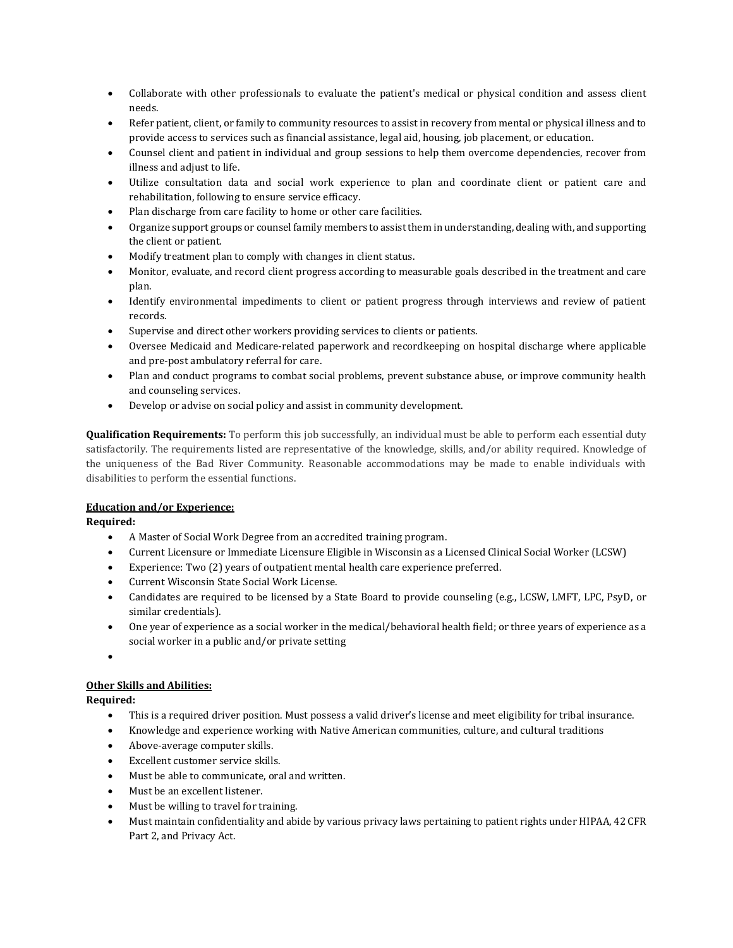- Collaborate with other professionals to evaluate the patient's medical or physical condition and assess client needs.
- Refer patient, client, or family to community resources to assist in recovery from mental or physical illness and to provide access to services such as financial assistance, legal aid, housing, job placement, or education.
- Counsel client and patient in individual and group sessions to help them overcome dependencies, recover from illness and adjust to life.
- Utilize consultation data and social work experience to plan and coordinate client or patient care and rehabilitation, following to ensure service efficacy.
- Plan discharge from care facility to home or other care facilities.
- Organize support groups or counsel family members to assist them in understanding, dealing with, and supporting the client or patient.
- Modify treatment plan to comply with changes in client status.
- Monitor, evaluate, and record client progress according to measurable goals described in the treatment and care plan.
- Identify environmental impediments to client or patient progress through interviews and review of patient records.
- Supervise and direct other workers providing services to clients or patients.
- Oversee Medicaid and Medicare-related paperwork and recordkeeping on hospital discharge where applicable and pre-post ambulatory referral for care.
- Plan and conduct programs to combat social problems, prevent substance abuse, or improve community health and counseling services.
- Develop or advise on social policy and assist in community development.

**Qualification Requirements:** To perform this job successfully, an individual must be able to perform each essential duty satisfactorily. The requirements listed are representative of the knowledge, skills, and/or ability required. Knowledge of the uniqueness of the Bad River Community. Reasonable accommodations may be made to enable individuals with disabilities to perform the essential functions.

## **Education and/or Experience:**

**Required:**

- A Master of Social Work Degree from an accredited training program.
- Current Licensure or Immediate Licensure Eligible in Wisconsin as a Licensed Clinical Social Worker (LCSW)
- Experience: Two (2) years of outpatient mental health care experience preferred.
- Current Wisconsin State Social Work License.
- Candidates are required to be licensed by a State Board to provide counseling (e.g., LCSW, LMFT, LPC, PsyD, or similar credentials).
- One year of experience as a social worker in the medical/behavioral health field; or three years of experience as a social worker in a public and/or private setting

•

## **Other Skills and Abilities:**

**Required:**

- This is a required driver position. Must possess a valid driver's license and meet eligibility for tribal insurance.
- Knowledge and experience working with Native American communities, culture, and cultural traditions
- Above-average computer skills.
- Excellent customer service skills.
- Must be able to communicate, oral and written.
- Must be an excellent listener.
- Must be willing to travel for training.
- Must maintain confidentiality and abide by various privacy laws pertaining to patient rights under HIPAA, 42 CFR Part 2, and Privacy Act.